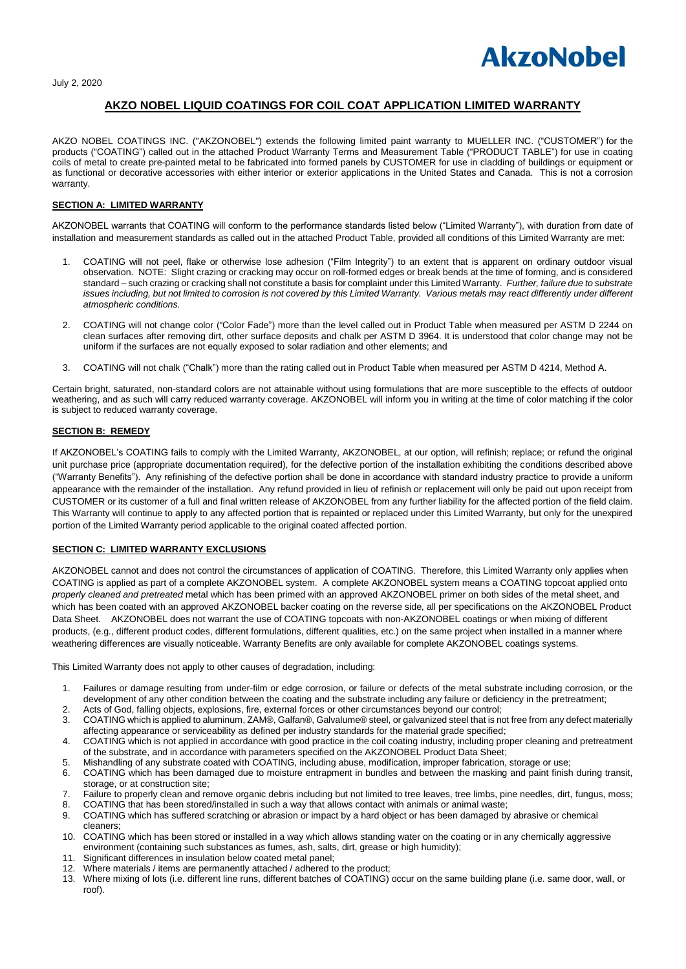

July 2, 2020

# **AKZO NOBEL LIQUID COATINGS FOR COIL COAT APPLICATION LIMITED WARRANTY**

AKZO NOBEL COATINGS INC. ("AKZONOBEL") extends the following limited paint warranty to MUELLER INC. ("CUSTOMER") for the products ("COATING") called out in the attached Product Warranty Terms and Measurement Table ("PRODUCT TABLE") for use in coating coils of metal to create pre-painted metal to be fabricated into formed panels by CUSTOMER for use in cladding of buildings or equipment or as functional or decorative accessories with either interior or exterior applications in the United States and Canada. This is not a corrosion warranty.

## **SECTION A: LIMITED WARRANTY**

AKZONOBEL warrants that COATING will conform to the performance standards listed below ("Limited Warranty"), with duration from date of installation and measurement standards as called out in the attached Product Table, provided all conditions of this Limited Warranty are met:

- 1. COATING will not peel, flake or otherwise lose adhesion ("Film Integrity") to an extent that is apparent on ordinary outdoor visual observation. NOTE: Slight crazing or cracking may occur on roll-formed edges or break bends at the time of forming, and is considered standard – such crazing or cracking shall not constitute a basis for complaint under this Limited Warranty. *Further, failure due to substrate issues including, but not limited to corrosion is not covered by this Limited Warranty. Various metals may react differently under different atmospheric conditions.*
- 2. COATING will not change color ("Color Fade") more than the level called out in Product Table when measured per ASTM D 2244 on clean surfaces after removing dirt, other surface deposits and chalk per ASTM D 3964. It is understood that color change may not be uniform if the surfaces are not equally exposed to solar radiation and other elements; and
- 3. COATING will not chalk ("Chalk") more than the rating called out in Product Table when measured per ASTM D 4214, Method A.

Certain bright, saturated, non-standard colors are not attainable without using formulations that are more susceptible to the effects of outdoor weathering, and as such will carry reduced warranty coverage. AKZONOBEL will inform you in writing at the time of color matching if the color is subject to reduced warranty coverage.

# **SECTION B: REMEDY**

If AKZONOBEL's COATING fails to comply with the Limited Warranty, AKZONOBEL, at our option, will refinish; replace; or refund the original unit purchase price (appropriate documentation required), for the defective portion of the installation exhibiting the conditions described above ("Warranty Benefits"). Any refinishing of the defective portion shall be done in accordance with standard industry practice to provide a uniform appearance with the remainder of the installation. Any refund provided in lieu of refinish or replacement will only be paid out upon receipt from CUSTOMER or its customer of a full and final written release of AKZONOBEL from any further liability for the affected portion of the field claim. This Warranty will continue to apply to any affected portion that is repainted or replaced under this Limited Warranty, but only for the unexpired portion of the Limited Warranty period applicable to the original coated affected portion.

# **SECTION C: LIMITED WARRANTY EXCLUSIONS**

AKZONOBEL cannot and does not control the circumstances of application of COATING. Therefore, this Limited Warranty only applies when COATING is applied as part of a complete AKZONOBEL system. A complete AKZONOBEL system means a COATING topcoat applied onto *properly cleaned and pretreated* metal which has been primed with an approved AKZONOBEL primer on both sides of the metal sheet, and which has been coated with an approved AKZONOBEL backer coating on the reverse side, all per specifications on the AKZONOBEL Product Data Sheet. AKZONOBEL does not warrant the use of COATING topcoats with non-AKZONOBEL coatings or when mixing of different products, (e.g., different product codes, different formulations, different qualities, etc.) on the same project when installed in a manner where weathering differences are visually noticeable. Warranty Benefits are only available for complete AKZONOBEL coatings systems.

This Limited Warranty does not apply to other causes of degradation, including:

- 1. Failures or damage resulting from under-film or edge corrosion, or failure or defects of the metal substrate including corrosion, or the development of any other condition between the coating and the substrate including any failure or deficiency in the pretreatment;
- 2. Acts of God, falling objects, explosions, fire, external forces or other circumstances beyond our control;
- 3. COATING which is applied to aluminum, ZAM®, Galfan®, Galvalume® steel, or galvanized steel that is not free from any defect materially affecting appearance or serviceability as defined per industry standards for the material grade specified;
- 4. COATING which is not applied in accordance with good practice in the coil coating industry, including proper cleaning and pretreatment of the substrate, and in accordance with parameters specified on the AKZONOBEL Product Data Sheet;
- 5. Mishandling of any substrate coated with COATING, including abuse, modification, improper fabrication, storage or use;
- 6. COATING which has been damaged due to moisture entrapment in bundles and between the masking and paint finish during transit, storage, or at construction site;
- 7. Failure to properly clean and remove organic debris including but not limited to tree leaves, tree limbs, pine needles, dirt, fungus, moss;
- 8. COATING that has been stored/installed in such a way that allows contact with animals or animal waste; 9. COATING which has suffered scratching or abrasion or impact by a hard object or has been damaged by abrasive or chemical
- cleaners;
- 10. COATING which has been stored or installed in a way which allows standing water on the coating or in any chemically aggressive environment (containing such substances as fumes, ash, salts, dirt, grease or high humidity);
- 11. Significant differences in insulation below coated metal panel;
- 12. Where materials / items are permanently attached / adhered to the product;<br>13. Where mixing of lots (i.e. different line runs, different batches of COATING)
- 13. Where mixing of lots (i.e. different line runs, different batches of COATING) occur on the same building plane (i.e. same door, wall, or roof).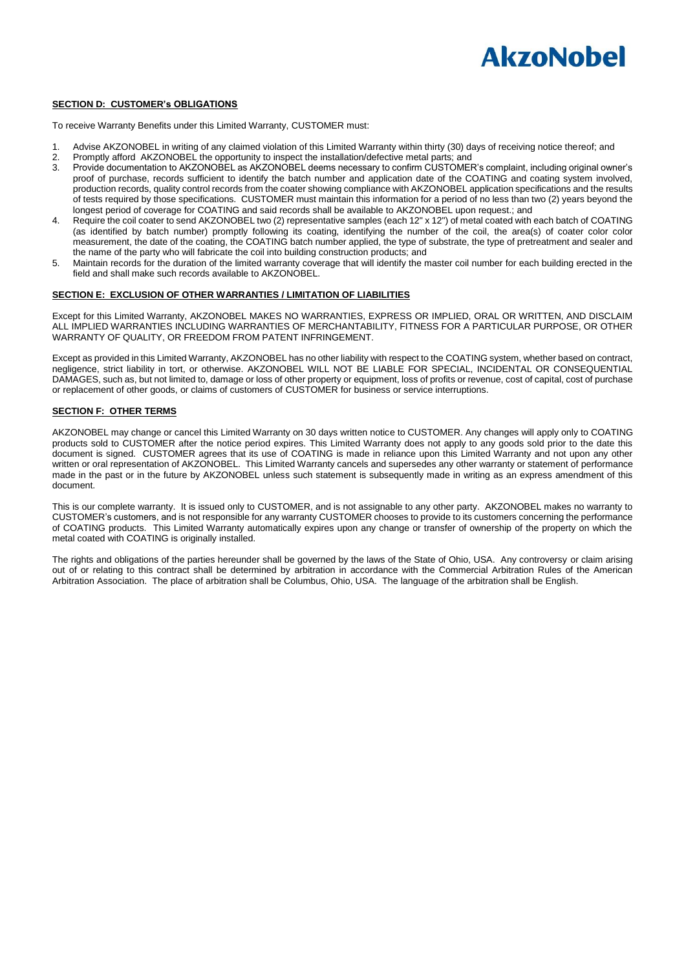

#### **SECTION D: CUSTOMER's OBLIGATIONS**

To receive Warranty Benefits under this Limited Warranty, CUSTOMER must:

- 1. Advise AKZONOBEL in writing of any claimed violation of this Limited Warranty within thirty (30) days of receiving notice thereof; and
- 2. Promptly afford AKZONOBEL the opportunity to inspect the installation/defective metal parts; and<br>3. Provide documentation to AKZONOBEL as AKZONOBEL deems necessary to confirm CUSTOMER
- 3. Provide documentation to AKZONOBEL as AKZONOBEL deems necessary to confirm CUSTOMER's complaint, including original owner's proof of purchase, records sufficient to identify the batch number and application date of the COATING and coating system involved, production records, quality control records from the coater showing compliance with AKZONOBEL application specifications and the results of tests required by those specifications. CUSTOMER must maintain this information for a period of no less than two (2) years beyond the longest period of coverage for COATING and said records shall be available to AKZONOBEL upon request.; and
- 4. Require the coil coater to send AKZONOBEL two (2) representative samples (each 12" x 12") of metal coated with each batch of COATING (as identified by batch number) promptly following its coating, identifying the number of the coil, the area(s) of coater color color measurement, the date of the coating, the COATING batch number applied, the type of substrate, the type of pretreatment and sealer and the name of the party who will fabricate the coil into building construction products; and
- 5. Maintain records for the duration of the limited warranty coverage that will identify the master coil number for each building erected in the field and shall make such records available to AKZONOBEL.

## **SECTION E: EXCLUSION OF OTHER WARRANTIES / LIMITATION OF LIABILITIES**

Except for this Limited Warranty, AKZONOBEL MAKES NO WARRANTIES, EXPRESS OR IMPLIED, ORAL OR WRITTEN, AND DISCLAIM ALL IMPLIED WARRANTIES INCLUDING WARRANTIES OF MERCHANTABILITY, FITNESS FOR A PARTICULAR PURPOSE, OR OTHER WARRANTY OF QUALITY, OR FREEDOM FROM PATENT INFRINGEMENT.

Except as provided in this Limited Warranty, AKZONOBEL has no other liability with respect to the COATING system, whether based on contract, negligence, strict liability in tort, or otherwise. AKZONOBEL WILL NOT BE LIABLE FOR SPECIAL, INCIDENTAL OR CONSEQUENTIAL DAMAGES, such as, but not limited to, damage or loss of other property or equipment, loss of profits or revenue, cost of capital, cost of purchase or replacement of other goods, or claims of customers of CUSTOMER for business or service interruptions.

#### **SECTION F: OTHER TERMS**

AKZONOBEL may change or cancel this Limited Warranty on 30 days written notice to CUSTOMER. Any changes will apply only to COATING products sold to CUSTOMER after the notice period expires. This Limited Warranty does not apply to any goods sold prior to the date this document is signed. CUSTOMER agrees that its use of COATING is made in reliance upon this Limited Warranty and not upon any other written or oral representation of AKZONOBEL. This Limited Warranty cancels and supersedes any other warranty or statement of performance made in the past or in the future by AKZONOBEL unless such statement is subsequently made in writing as an express amendment of this document.

This is our complete warranty. It is issued only to CUSTOMER, and is not assignable to any other party. AKZONOBEL makes no warranty to CUSTOMER's customers, and is not responsible for any warranty CUSTOMER chooses to provide to its customers concerning the performance of COATING products. This Limited Warranty automatically expires upon any change or transfer of ownership of the property on which the metal coated with COATING is originally installed.

The rights and obligations of the parties hereunder shall be governed by the laws of the State of Ohio, USA. Any controversy or claim arising out of or relating to this contract shall be determined by arbitration in accordance with the Commercial Arbitration Rules of the American Arbitration Association. The place of arbitration shall be Columbus, Ohio, USA. The language of the arbitration shall be English.